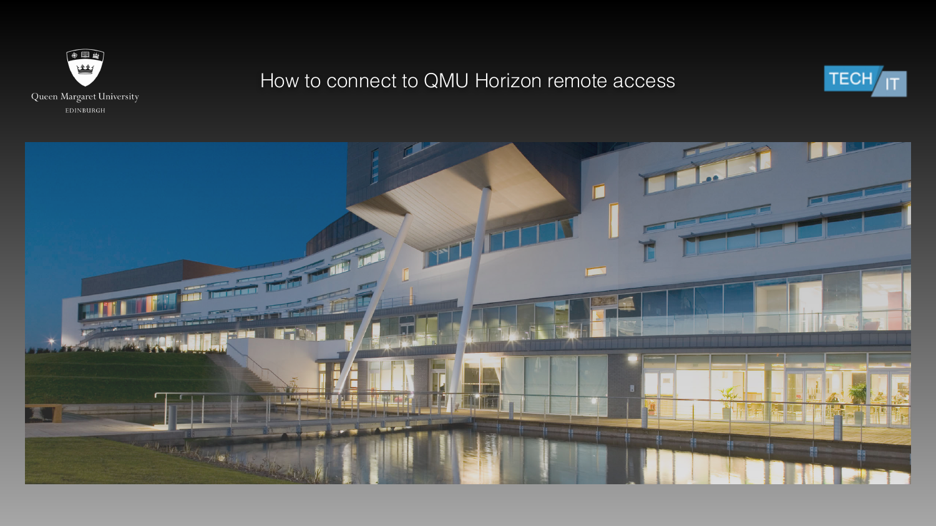

### How to connect to QMU Horizon remote access



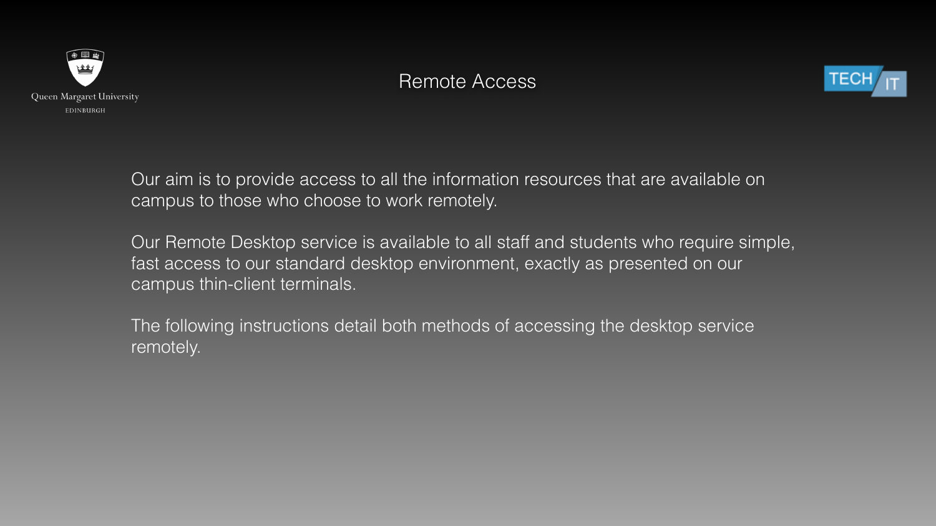



#### Remote Access



Our aim is to provide access to all the information resources that are available on campus to those who choose to work remotely.

Our Remote Desktop service is available to all staff and students who require simple, fast access to our standard desktop environment, exactly as presented on our campus thin-client terminals.

The following instructions detail both methods of accessing the desktop service remotely.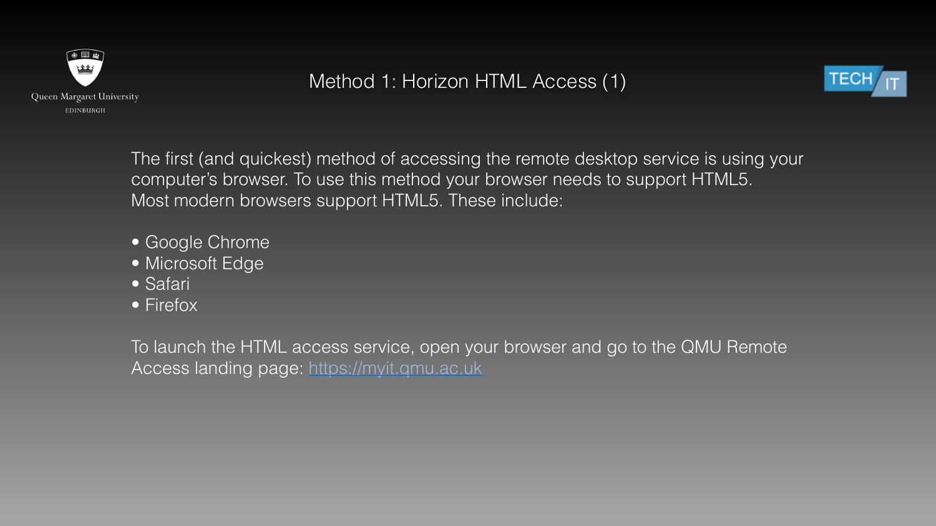

#### Method 1: Horizon HTML Access (1)

The first (and quickest) method of accessing the remote desktop service is using your computer's browser. To use this method your browser needs to support HTML5. Most modern browsers support HTML5. These include:



- Google Chrome
- Microsoft Edge
- Safari
- Firefox

To launch the HTML access service, open your browser and go to the QMU Remote Access landing page:<https://myit.qmu.ac.uk>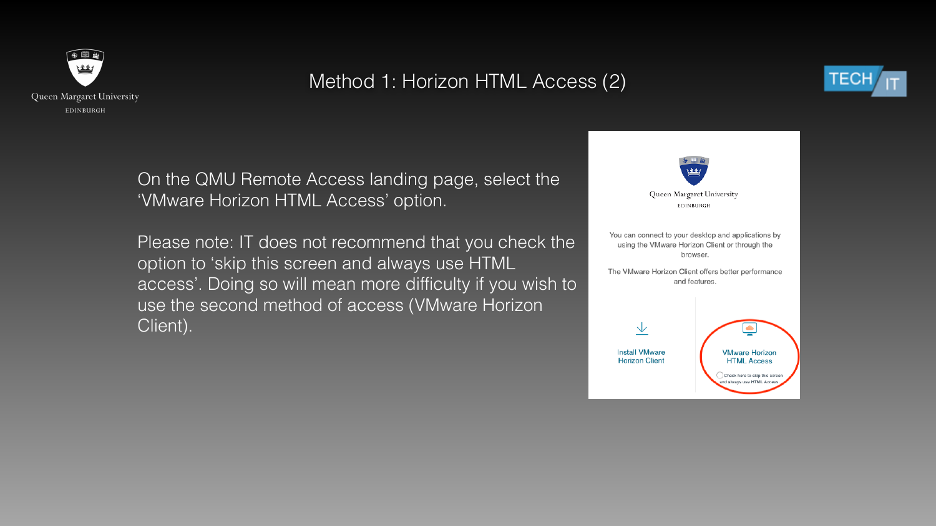

# Method 1: Horizon HTML Access (2)

On the QMU Remote Access landing page, select the 'VMware Horizon HTML Access' option.

Please note: IT does not recommend that you check the option to 'skip this screen and always use HTML access'. Doing so will mean more difficulty if you wish to use the second method of access (VMware Horizon Client).





EDINBURGH

You can connect to your desktop and applications by using the VMware Horizon Client or through the browser.

The VMware Horizon Client offers better performance and features.



**Install VMware Horizon Client** 

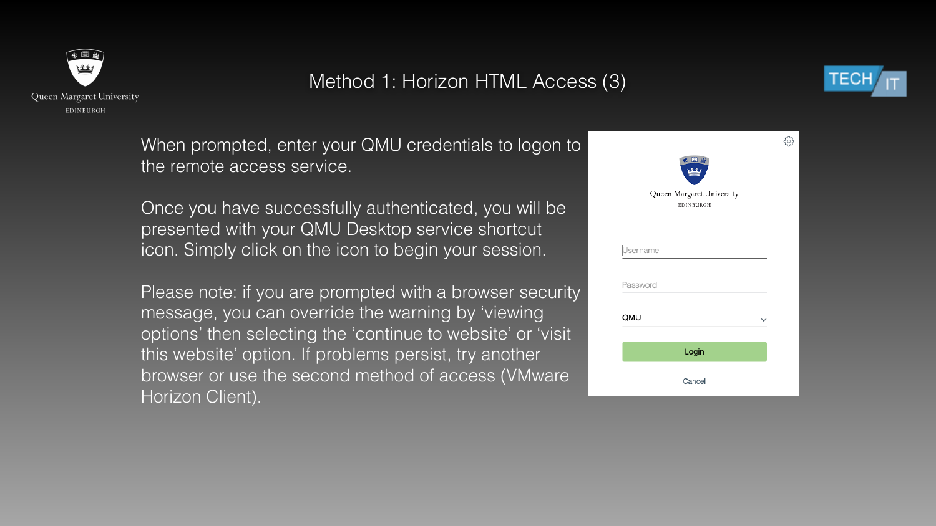

# Method 1: Horizon HTML Access (3)



ફ્રુંડ્ડે

| 柴<br>Queen Margaret University<br>EDINBURGH |
|---------------------------------------------|
| <b>Isername</b>                             |
| Password                                    |
| QMU                                         |
| Login                                       |
| Cancel                                      |

When prompted, enter your QMU credentials to logon to the remote access service.

Once you have successfully authenticated, you will be presented with your QMU Desktop service shortcut icon. Simply click on the icon to begin your session.

Please note: if you are prompted with a browser security message, you can override the warning by 'viewing options' then selecting the 'continue to website' or 'visit this website' option. If problems persist, try another browser or use the second method of access (VMware Horizon Client).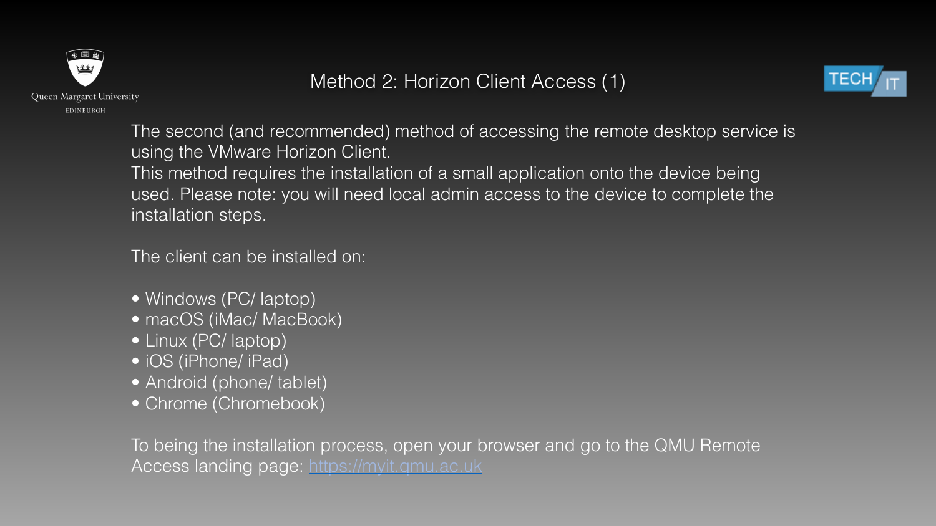

## Method 2: Horizon Client Access (1)

The second (and recommended) method of accessing the remote desktop service is using the VMware Horizon Client. This method requires the installation of a small application onto the device being used. Please note: you will need local admin access to the device to complete the installation steps.

- Windows (PC/ laptop)
- macOS (iMac/ MacBook)
- Linux (PC/ laptop)
- iOS (iPhone/ iPad)
- Android (phone/ tablet)
- Chrome (Chromebook)

To being the installation process, open your browser and go to the QMU Remote Access landing page:<https://myit.qmu.ac.uk>



The client can be installed on: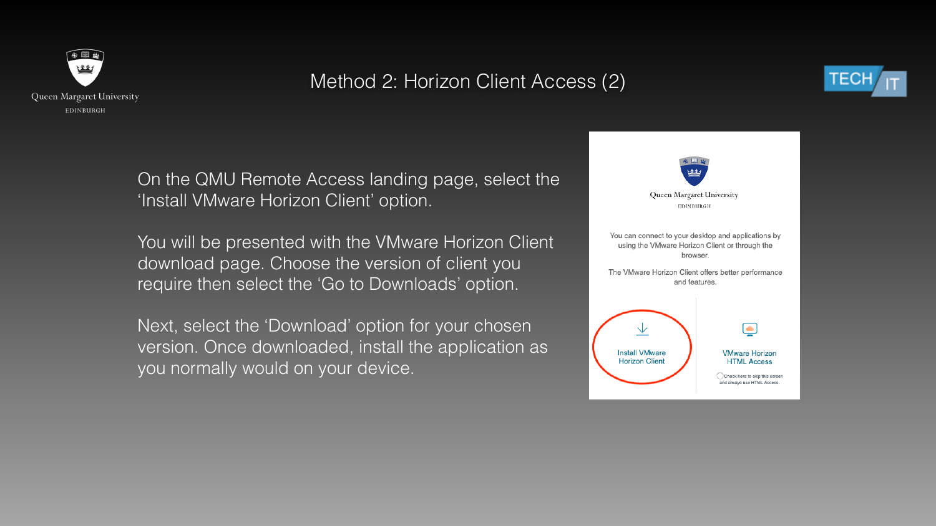

# Method 2: Horizon Client Access (2)

On the QMU Remote Access landing page, select the 'Install VMware Horizon Client' option.

You will be presented with the VMware Horizon Client download page. Choose the version of client you require then select the 'Go to Downloads' option.

Next, select the 'Download' option for your chosen version. Once downloaded, install the application as you normally would on your device.





You can connect to your desktop and applications by using the VMware Horizon Client or through the browser.

The VMware Horizon Client offers better performance and features.





#### **VMware Horizon HTML Access**

Check here to skip this screen and always use HTML Access.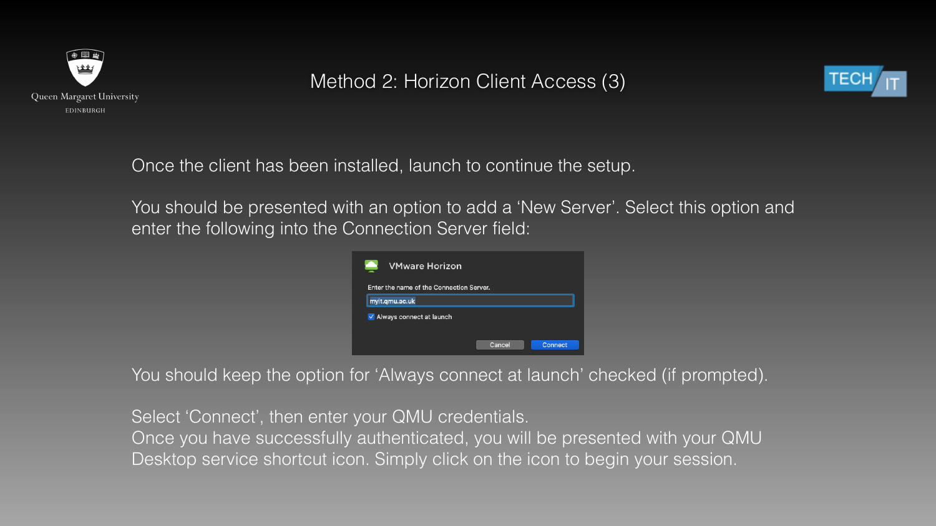

## Method 2: Horizon Client Access (3)

Once the client has been installed, launch to continue the setup.

You should be presented with an option to add a 'New Server'. Select this option and enter the following into the Connection Server field:



You should keep the option for 'Always connect at launch' checked (if prompted).

Select 'Connect', then enter your QMU credentials. Once you have successfully authenticated, you will be presented with your QMU Desktop service shortcut icon. Simply click on the icon to begin your session.



| rizon             |        |                |  |
|-------------------|--------|----------------|--|
| onnection Server. |        |                |  |
|                   |        |                |  |
| ınch              |        |                |  |
|                   |        |                |  |
|                   | Cancel | <b>Connect</b> |  |